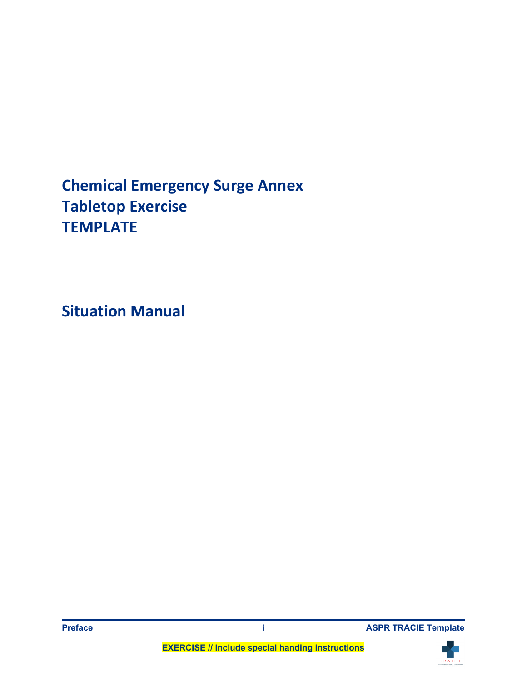# **Chemical Emergency Surge Annex Tabletop Exercise TEMPLATE**

**Situation Manual** 



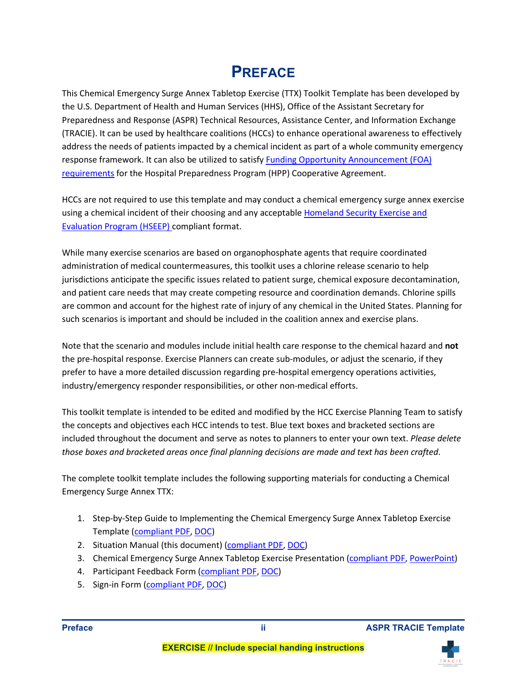### **PREFACE**

 This Chemical Emergency Surge Annex Tabletop Exercise (TTX) Toolkit Template has been developed by (TRACIE). It can be used by healthcare coalitions (HCCs) to enhance operational awareness to effectively address the needs of patients impacted by a chemical incident as part of a whole community emergency the U.S. Department of Health and Human Services (HHS), Office of the Assistant Secretary for Preparedness and Response (ASPR) Technical Resources, Assistance Center, and Information Exchange response framework. It can also be utilized to satisfy **Funding Opportunity Announcement (FOA)** [requirements](https://www.grantsolutions.gov/gs/preaward/previewPublicAnnouncement.do?id=63163) for the Hospital Preparedness Program (HPP) Cooperative Agreement.

 HCCs are not required to use this template and may conduct a chemical emergency surge annex exercise using a chemical incident of their choosing and any acceptable Homeland Security Exercise and [Evaluation Program \(HSEEP\) c](https://www.fema.gov/emergency-managers/national-preparedness/exercises/hseep)ompliant format.

 While many exercise scenarios are based on organophosphate agents that require coordinated jurisdictions anticipate the specific issues related to patient surge, chemical exposure decontamination, administration of medical countermeasures, this toolkit uses a chlorine release scenario to help and patient care needs that may create competing resource and coordination demands. Chlorine spills are common and account for the highest rate of injury of any chemical in the United States. Planning for such scenarios is important and should be included in the coalition annex and exercise plans.

 Note that the scenario and modules include initial health care response to the chemical hazard and **not**  prefer to have a more detailed discussion regarding pre-hospital emergency operations activities, the pre-hospital response. Exercise Planners can create sub-modules, or adjust the scenario, if they industry/emergency responder responsibilities, or other non-medical efforts.

 This toolkit template is intended to be edited and modified by the HCC Exercise Planning Team to satisfy the concepts and objectives each HCC intends to test. Blue text boxes and bracketed sections are included throughout the document and serve as notes to planners to enter your own text. *Please delete those boxes and bracketed areas once final planning decisions are made and text has been crafted*.

 The complete toolkit template includes the following supporting materials for conducting a Chemical Emergency Surge Annex TTX:

- 1. Step-by-Step Guide to Implementing the Chemical Emergency Surge Annex Tabletop Exercise Template [\(compliant PDF,](https://files.asprtracie.hhs.gov/documents/aspr-tracie-step-by-step-guide-to-implementing-coalition-chemical-surge-ttx.pdf) [DOC\)](https://files.asprtracie.hhs.gov/documents/aspr-tracie-step-by-step-guide-to-implementing-coalition-chemical-surge-ttx.docx)
- 2. Situation Manual (this document) [\(compliant PDF,](https://files.asprtracie.hhs.gov/documents/aspr-tracie-hcc-chemical-surge-ttx-sitman.pdf) [DOC\)](https://files.asprtracie.hhs.gov/documents/aspr-tracie-hcc-chemical-surge-ttx-sitman.docx)
- 3. Chemical Emergency Surge Annex Tabletop Exercise Presentation [\(compliant PDF,](https://files.asprtracie.hhs.gov/documents/aspr-tracie-coalition-chemical-surge-ttx-template-presentation.pdf) [PowerPoint\)](https://files.asprtracie.hhs.gov/documents/aspr-tracie-coalition-chemical-surge-ttx-template-presentation.pptx)
- 4. Participant Feedback Form [\(compliant PDF,](https://files.asprtracie.hhs.gov/documents/aspr-tracie-chemical-surge-ttx-participant-feedback-form.pdf) [DOC\)](https://files.asprtracie.hhs.gov/documents/aspr-tracie-chemical-surge-ttx-sign-in-sheet.docx)
- 5. Sign-in Form [\(compliant PDF,](https://files.asprtracie.hhs.gov/documents/aspr-tracie-chemical-surge-ttx-sign-in-sheet.pdf) [DOC\)](https://files.asprtracie.hhs.gov/documents/aspr-tracie-chemical-surge-ttx-sign-in-sheet.docx)



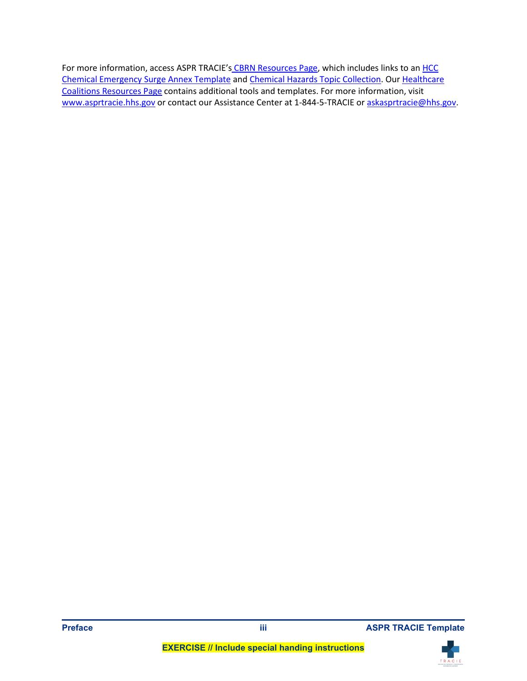[Chemical Emergency Surge Annex Template](https://files.asprtracie.hhs.gov/documents/aspr-tracie-hcc-chemical-surge-annex-final.pdf) and [Chemical Hazards Topic Collection.](https://asprtracie.hhs.gov/technical-resources/29/chemical-hazards/27) Our Healthcare [www.asprtracie.hhs.gov o](https://asprtracie.hhs.gov/)r contact our Assistance Center at 1-844-5-TRACIE or [askasprtracie@hhs.gov.](mailto:askasprtracie@hhs.gov) For more information, access ASPR TRACIE'[s CBRN Resources Page,](https://asprtracie.hhs.gov/cbrn-resources) which includes links to an HCC [Coalitions Resources Page](https://asprtracie.hhs.gov/hcc-resources) contains additional tools and templates. For more information, visit



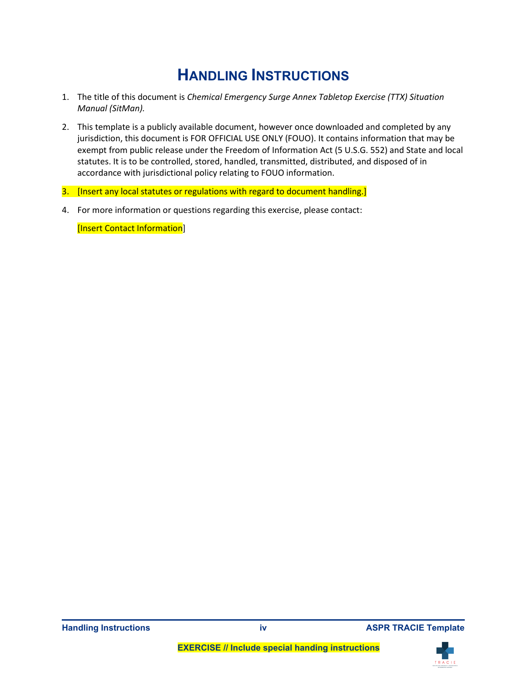### **HANDLING INSTRUCTIONS**

- 1. The title of this document is *Chemical Emergency Surge Annex Tabletop Exercise (TTX) Situation Manual (SitMan).*
- jurisdiction, this document is FOR OFFICIAL USE ONLY (FOUO). It contains information that may be accordance with jurisdictional policy relating to FOUO information. 2. This template is a publicly available document, however once downloaded and completed by any exempt from public release under the Freedom of Information Act (5 U.S.G. 552) and State and local statutes. It is to be controlled, stored, handled, transmitted, distributed, and disposed of in
- 3. [Insert any local statutes or regulations with regard to document handling.]
- 4. For more information or questions regarding this exercise, please contact:

[Insert Contact Information]



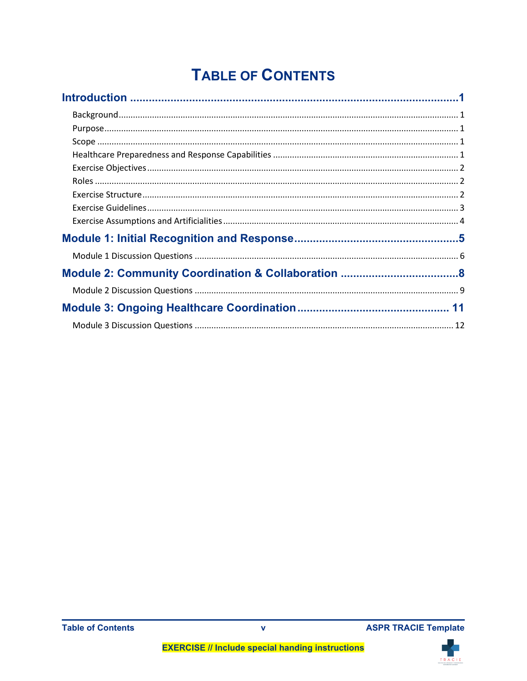# **TABLE OF CONTENTS**



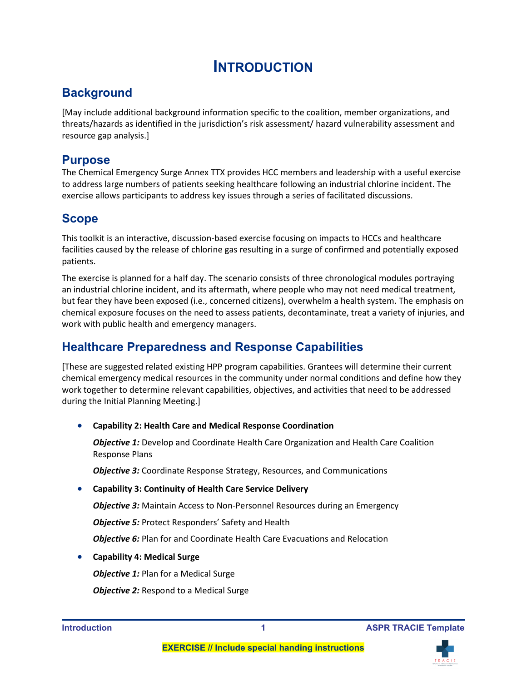### **INTRODUCTION**

### <span id="page-5-1"></span><span id="page-5-0"></span>**Background**

[May include additional background information specific to the coalition, member organizations, and threats/hazards as identified in the jurisdiction's risk assessment/ hazard vulnerability assessment and resource gap analysis.]

#### <span id="page-5-2"></span>**Purpose**

The Chemical Emergency Surge Annex TTX provides HCC members and leadership with a useful exercise to address large numbers of patients seeking healthcare following an industrial chlorine incident. The exercise allows participants to address key issues through a series of facilitated discussions.

### <span id="page-5-3"></span>**Scope**

 facilities caused by the release of chlorine gas resulting in a surge of confirmed and potentially exposed This toolkit is an interactive, discussion-based exercise focusing on impacts to HCCs and healthcare patients.

 an industrial chlorine incident, and its aftermath, where people who may not need medical treatment, but fear they have been exposed (i.e., concerned citizens), overwhelm a health system. The emphasis on chemical exposure focuses on the need to assess patients, decontaminate, treat a variety of injuries, and The exercise is planned for a half day. The scenario consists of three chronological modules portraying work with public health and emergency managers.

### <span id="page-5-4"></span> **Healthcare Preparedness and Response Capabilities**

[These are suggested related existing HPP program capabilities. Grantees will determine their current chemical emergency medical resources in the community under normal conditions and define how they work together to determine relevant capabilities, objectives, and activities that need to be addressed during the Initial Planning Meeting.]

• **Capability 2: Health Care and Medical Response Coordination** 

 *Objective 1:* Develop and Coordinate Health Care Organization and Health Care Coalition Response Plans

*Objective 3:* Coordinate Response Strategy, Resources, and Communications

#### • **Capability 3: Continuity of Health Care Service Delivery**

**Objective 3:** Maintain Access to Non-Personnel Resources during an Emergency

*Objective 5:* Protect Responders' Safety and Health

*Objective 6: Plan for and Coordinate Health Care Evacuations and Relocation* 

• **Capability 4: Medical Surge** 

*Objective 1:* Plan for a Medical Surge

**Objective 2:** Respond to a Medical Surge

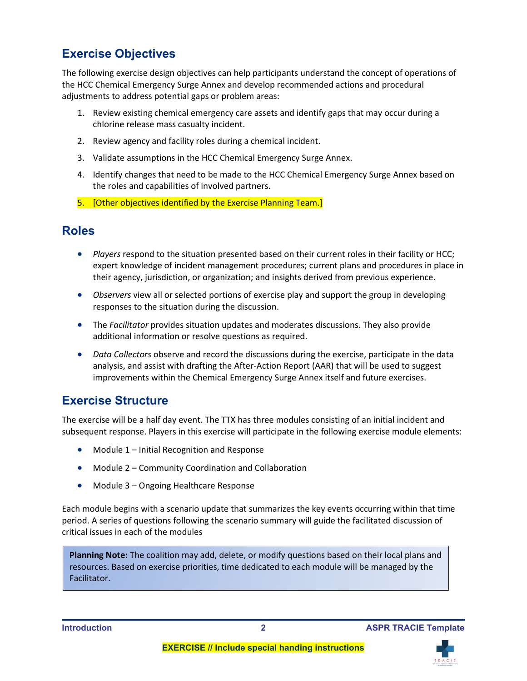### <span id="page-6-0"></span>**Exercise Objectives**

The following exercise design objectives can help participants understand the concept of operations of the HCC Chemical Emergency Surge Annex and develop recommended actions and procedural adjustments to address potential gaps or problem areas:

- 1. Review existing chemical emergency care assets and identify gaps that may occur during a chlorine release mass casualty incident.
- 2. Review agency and facility roles during a chemical incident.
- 3. Validate assumptions in the HCC Chemical Emergency Surge Annex.
- 4. Identify changes that need to be made to the HCC Chemical Emergency Surge Annex based on the roles and capabilities of involved partners.
- 5. [Other objectives identified by the Exercise Planning Team.]

#### <span id="page-6-1"></span>**Roles**

- • *Players* respond to the situation presented based on their current roles in their facility or HCC; expert knowledge of incident management procedures; current plans and procedures in place in their agency, jurisdiction, or organization; and insights derived from previous experience.
- *Observers* view all or selected portions of exercise play and support the group in developing responses to the situation during the discussion.
- • The *Facilitator* provides situation updates and moderates discussions. They also provide additional information or resolve questions as required.
- analysis, and assist with drafting the After-Action Report (AAR) that will be used to suggest • *Data Collectors* observe and record the discussions during the exercise, participate in the data improvements within the Chemical Emergency Surge Annex itself and future exercises.

### <span id="page-6-2"></span>**Exercise Structure**

The exercise will be a half day event. The TTX has three modules consisting of an initial incident and subsequent response. Players in this exercise will participate in the following exercise module elements:

- Module 1 Initial Recognition and Response
- Module 2 Community Coordination and Collaboration
- Module 3 Ongoing Healthcare Response

 period. A series of questions following the scenario summary will guide the facilitated discussion of Each module begins with a scenario update that summarizes the key events occurring within that time critical issues in each of the modules

 resources. Based on exercise priorities, time dedicated to each module will be managed by the **Planning Note:** The coalition may add, delete, or modify questions based on their local plans and Facilitator.



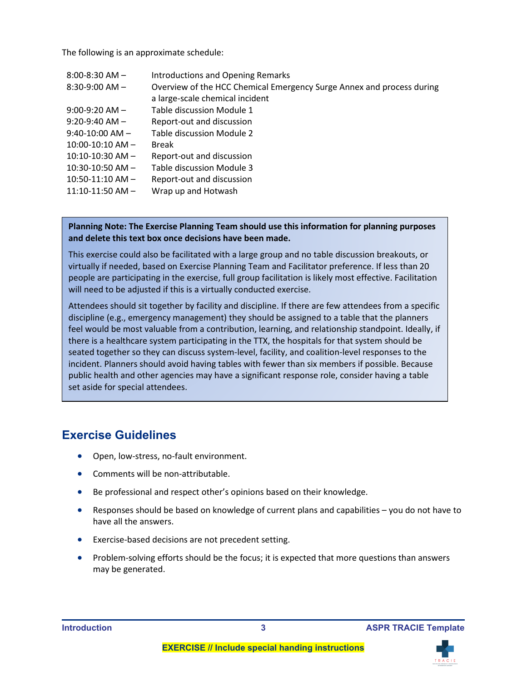The following is an approximate schedule:

| $8:00 - 8:30$ AM $-$   | <b>Introductions and Opening Remarks</b>                              |
|------------------------|-----------------------------------------------------------------------|
| $8:30-9:00$ AM $-$     | Overview of the HCC Chemical Emergency Surge Annex and process during |
|                        | a large-scale chemical incident                                       |
| $9:00-9:20$ AM $-$     | Table discussion Module 1                                             |
| $9:20-9:40$ AM $-$     | Report-out and discussion                                             |
| $9:40-10:00$ AM $-$    | Table discussion Module 2                                             |
| $10:00 - 10:10$ AM $-$ | <b>Break</b>                                                          |
| $10:10-10:30$ AM $-$   | Report-out and discussion                                             |
| $10:30-10:50$ AM $-$   | Table discussion Module 3                                             |
| $10:50-11:10$ AM $-$   | Report-out and discussion                                             |
| $11:10-11:50$ AM $-$   | Wrap up and Hotwash                                                   |

#### **Planning Note: The Exercise Planning Team should use this information for planning purposes and delete this text box once decisions have been made.**

 This exercise could also be facilitated with a large group and no table discussion breakouts, or virtually if needed, based on Exercise Planning Team and Facilitator preference. If less than 20 people are participating in the exercise, full group facilitation is likely most effective. Facilitation will need to be adjusted if this is a virtually conducted exercise.

 discipline (e.g., emergency management) they should be assigned to a table that the planners there is a healthcare system participating in the TTX, the hospitals for that system should be Attendees should sit together by facility and discipline. If there are few attendees from a specific feel would be most valuable from a contribution, learning, and relationship standpoint. Ideally, if seated together so they can discuss system-level, facility, and coalition-level responses to the incident. Planners should avoid having tables with fewer than six members if possible. Because public health and other agencies may have a significant response role, consider having a table set aside for special attendees.

#### <span id="page-7-0"></span>**Exercise Guidelines**

- Open, low-stress, no-fault environment.
- Comments will be non-attributable.
- Be professional and respect other's opinions based on their knowledge.
- • Responses should be based on knowledge of current plans and capabilities you do not have to have all the answers.
- Exercise-based decisions are not precedent setting.
- Problem-solving efforts should be the focus; it is expected that more questions than answers may be generated.

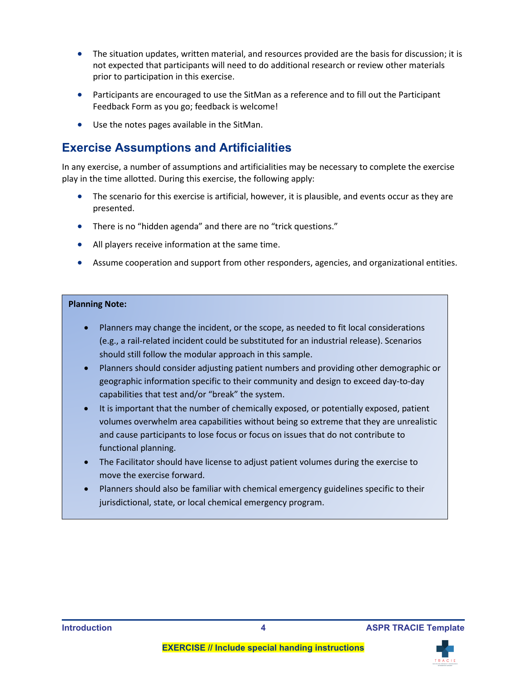- • The situation updates, written material, and resources provided are the basis for discussion; it is not expected that participants will need to do additional research or review other materials prior to participation in this exercise.
- Participants are encouraged to use the SitMan as a reference and to fill out the Participant Feedback Form as you go; feedback is welcome!
- Use the notes pages available in the SitMan.

#### <span id="page-8-0"></span>**Exercise Assumptions and Artificialities**

 In any exercise, a number of assumptions and artificialities may be necessary to complete the exercise play in the time allotted. During this exercise, the following apply:

- The scenario for this exercise is artificial, however, it is plausible, and events occur as they are presented.
- There is no "hidden agenda" and there are no "trick questions."
- All players receive information at the same time.
- Assume cooperation and support from other responders, agencies, and organizational entities.

#### **Planning Note:**

- • Planners may change the incident, or the scope, as needed to fit local considerations (e.g., a rail-related incident could be substituted for an industrial release). Scenarios should still follow the modular approach in this sample.
- geographic information specific to their community and design to exceed day-to-day • Planners should consider adjusting patient numbers and providing other demographic or capabilities that test and/or "break" the system.
- It is important that the number of chemically exposed, or potentially exposed, patient volumes overwhelm area capabilities without being so extreme that they are unrealistic and cause participants to lose focus or focus on issues that do not contribute to functional planning.
- • The Facilitator should have license to adjust patient volumes during the exercise to move the exercise forward.
- Planners should also be familiar with chemical emergency guidelines specific to their jurisdictional, state, or local chemical emergency program.

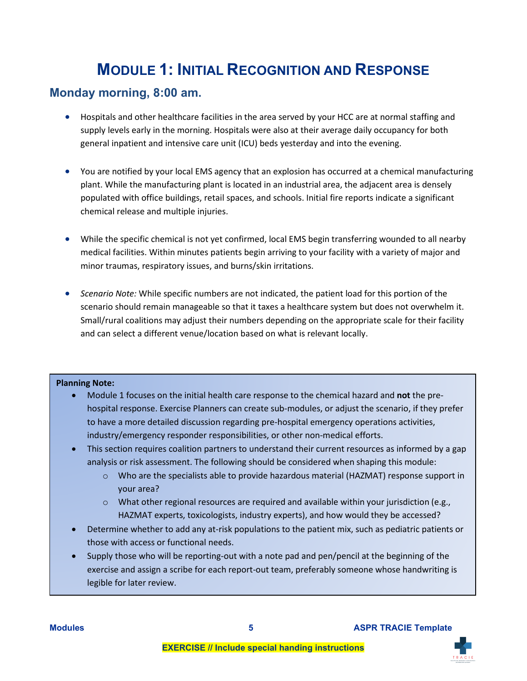### **MODULE 1: INITIAL RECOGNITION AND RESPONSE**

### <span id="page-9-1"></span><span id="page-9-0"></span> **Monday morning, 8:00 am.**

- supply levels early in the morning. Hospitals were also at their average daily occupancy for both general inpatient and intensive care unit (ICU) beds yesterday and into the evening. • Hospitals and other healthcare facilities in the area served by your HCC are at normal staffing and
- • You are notified by your local EMS agency that an explosion has occurred at a chemical manufacturing plant. While the manufacturing plant is located in an industrial area, the adjacent area is densely populated with office buildings, retail spaces, and schools. Initial fire reports indicate a significant chemical release and multiple injuries.
- medical facilities. Within minutes patients begin arriving to your facility with a variety of major and minor traumas, respiratory issues, and burns/skin irritations. • While the specific chemical is not yet confirmed, local EMS begin transferring wounded to all nearby
- scenario should remain manageable so that it taxes a healthcare system but does not overwhelm it. Small/rural coalitions may adjust their numbers depending on the appropriate scale for their facility • *Scenario Note:* While specific numbers are not indicated, the patient load for this portion of the and can select a different venue/location based on what is relevant locally.

#### **Planning Note:**

- • Module 1 focuses on the initial health care response to the chemical hazard and **not** the pre- hospital response. Exercise Planners can create sub-modules, or adjust the scenario, if they prefer to have a more detailed discussion regarding pre-hospital emergency operations activities, industry/emergency responder responsibilities, or other non-medical efforts.
- • This section requires coalition partners to understand their current resources as informed by a gap analysis or risk assessment. The following should be considered when shaping this module:
	- $\circ$  Who are the specialists able to provide hazardous material (HAZMAT) response support in your area?
	- $\circ$  What other regional resources are required and available within your jurisdiction (e.g., HAZMAT experts, toxicologists, industry experts), and how would they be accessed?
- • Determine whether to add any at-risk populations to the patient mix, such as pediatric patients or those with access or functional needs.
- exercise and assign a scribe for each report-out team, preferably someone whose handwriting is • Supply those who will be reporting-out with a note pad and pen/pencil at the beginning of the legible for later review.

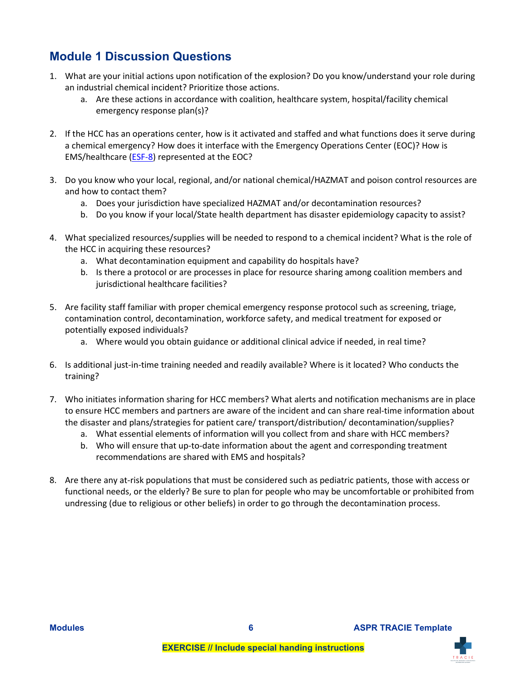### <span id="page-10-0"></span>**Module 1 Discussion Questions**

- an industrial chemical incident? Prioritize those actions. 1. What are your initial actions upon notification of the explosion? Do you know/understand your role during
	- a. Are these actions in accordance with coalition, healthcare system, hospital/facility chemical emergency response plan(s)?
- 2. If the HCC has an operations center, how is it activated and staffed and what functions does it serve during a chemical emergency? How does it interface with the Emergency Operations Center (EOC)? How is EMS/healthcare [\(ESF-8\)](https://www.phe.gov/Preparedness/support/esf8/Pages/default.aspx#8) represented at the EOC?
- 3. Do you know who your local, regional, and/or national chemical/HAZMAT and poison control resources are and how to contact them?
	- a. Does your jurisdiction have specialized HAZMAT and/or decontamination resources?
	- b. Do you know if your local/State health department has disaster epidemiology capacity to assist?
- 4. What specialized resources/supplies will be needed to respond to a chemical incident? What is the role of the HCC in acquiring these resources?
	- a. What decontamination equipment and capability do hospitals have?
	- b. Is there a protocol or are processes in place for resource sharing among coalition members and jurisdictional healthcare facilities?
- 5. Are facility staff familiar with proper chemical emergency response protocol such as screening, triage, contamination control, decontamination, workforce safety, and medical treatment for exposed or potentially exposed individuals?
	- potentially exposed individuals?<br>a. Where would you obtain guidance or additional clinical advice if needed, in real time?
- 6. Is additional just-in-time training needed and readily available? Where is it located? Who conducts the training?
- to ensure HCC members and partners are aware of the incident and can share real-time information about the disaster and plans/strategies for patient care/ transport/distribution/ decontamination/supplies? 7. Who initiates information sharing for HCC members? What alerts and notification mechanisms are in place
	- a. What essential elements of information will you collect from and share with HCC members?
	- b. Who will ensure that up-to-date information about the agent and corresponding treatment recommendations are shared with EMS and hospitals?
- 8. Are there any at-risk populations that must be considered such as pediatric patients, those with access or functional needs, or the elderly? Be sure to plan for people who may be uncomfortable or prohibited from undressing (due to religious or other beliefs) in order to go through the decontamination process.

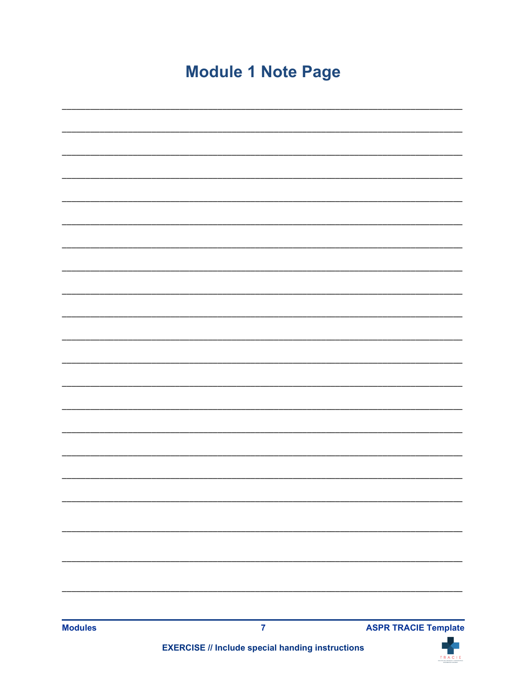# **Module 1 Note Page**

| <b>Modules</b> | $\overline{7}$ | <b>ASPR TRACIE Template</b> |
|----------------|----------------|-----------------------------|
|                |                |                             |
|                |                |                             |
|                |                |                             |
|                |                |                             |
|                |                |                             |
|                |                |                             |
|                |                |                             |
|                |                |                             |
|                |                |                             |
|                |                |                             |
|                |                |                             |
|                |                |                             |
|                |                |                             |
|                |                |                             |
|                |                |                             |
|                |                |                             |
|                |                |                             |

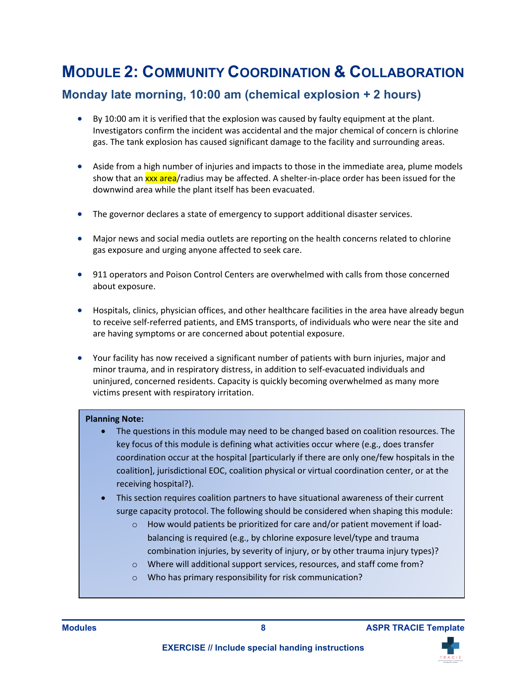# <span id="page-12-0"></span> **MODULE 2: COMMUNITY COORDINATION & COLLABORATION**

### **Monday late morning, 10:00 am (chemical explosion + 2 hours)**

- • By 10:00 am it is verified that the explosion was caused by faulty equipment at the plant. gas. The tank explosion has caused significant damage to the facility and surrounding areas. Investigators confirm the incident was accidental and the major chemical of concern is chlorine
- downwind area while the plant itself has been evacuated. high r<br><mark>xxx a</mark><br>ea wh • Aside from a high number of injuries and impacts to those in the immediate area, plume models show that an *xxx area*/radius may be affected. A shelter-in-place order has been issued for the
- The governor declares a state of emergency to support additional disaster services.
- • Major news and social media outlets are reporting on the health concerns related to chlorine gas exposure and urging anyone affected to seek care.
- about exposure. • 911 operators and Poison Control Centers are overwhelmed with calls from those concerned
- • Hospitals, clinics, physician offices, and other healthcare facilities in the area have already begun are having symptoms or are concerned about potential exposure. to receive self-referred patients, and EMS transports, of individuals who were near the site and
- Your facility has now received a significant number of patients with burn injuries, major and minor trauma, and in respiratory distress, in addition to self-evacuated individuals and uninjured, concerned residents. Capacity is quickly becoming overwhelmed as many more victims present with respiratory irritation.

#### **Planning Note:**

- • The questions in this module may need to be changed based on coalition resources. The key focus of this module is defining what activities occur where (e.g., does transfer coordination occur at the hospital [particularly if there are only one/few hospitals in the coalition], jurisdictional EOC, coalition physical or virtual coordination center, or at the receiving hospital?).
- This section requires coalition partners to have situational awareness of their current surge capacity protocol. The following should be considered when shaping this module:
	- $\circ$  How would patients be prioritized for care and/or patient movement if load- balancing is required (e.g., by chlorine exposure level/type and trauma combination injuries, by severity of injury, or by other trauma injury types)?
	- o Where will additional support services, resources, and staff come from?
	- o Who has primary responsibility for risk communication?



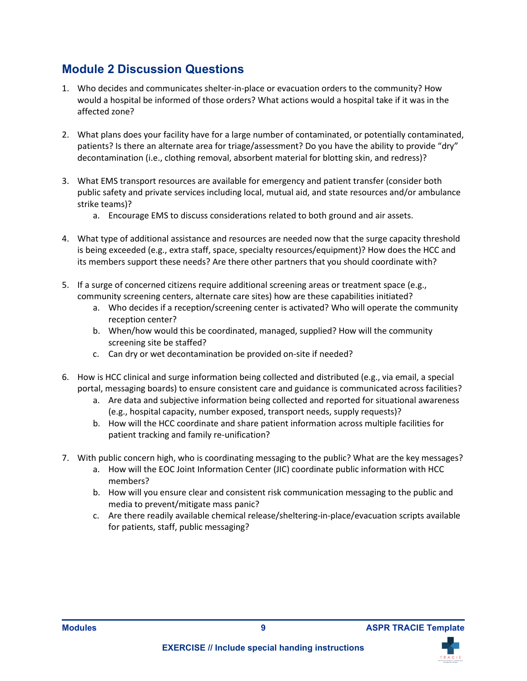### <span id="page-13-0"></span>**Module 2 Discussion Questions**

- 1. Who decides and communicates shelter-in-place or evacuation orders to the community? How would a hospital be informed of those orders? What actions would a hospital take if it was in the affected zone?
- decontamination (i.e., clothing removal, absorbent material for blotting skin, and redress)? 2. What plans does your facility have for a large number of contaminated, or potentially contaminated, patients? Is there an alternate area for triage/assessment? Do you have the ability to provide "dry"
- 3. What EMS transport resources are available for emergency and patient transfer (consider both public safety and private services including local, mutual aid, and state resources and/or ambulance strike teams)?
	- a. Encourage EMS to discuss considerations related to both ground and air assets.
- is being exceeded (e.g., extra staff, space, specialty resources/equipment)? How does the HCC and 4. What type of additional assistance and resources are needed now that the surge capacity threshold its members support these needs? Are there other partners that you should coordinate with?
- community screening centers, alternate care sites) how are these capabilities initiated? 5. If a surge of concerned citizens require additional screening areas or treatment space (e.g.,
	- a. Who decides if a reception/screening center is activated? Who will operate the community reception center?
	- b. When/how would this be coordinated, managed, supplied? How will the community screening site be staffed?
	- c. Can dry or wet decontamination be provided on-site if needed?
- 6. How is HCC clinical and surge information being collected and distributed (e.g., via email, a special portal, messaging boards) to ensure consistent care and guidance is communicated across facilities?
	- (e.g., hospital capacity, number exposed, transport needs, supply requests)? a. Are data and subjective information being collected and reported for situational awareness
	- b. How will the HCC coordinate and share patient information across multiple facilities for patient tracking and family re-unification?
- 7. With public concern high, who is coordinating messaging to the public? What are the key messages?
	- a. How will the EOC Joint Information Center (JIC) coordinate public information with HCC members?
	- media to prevent/mitigate mass panic? b. How will you ensure clear and consistent risk communication messaging to the public and
	- c. Are there readily available chemical release/sheltering-in-place/evacuation scripts available for patients, staff, public messaging?



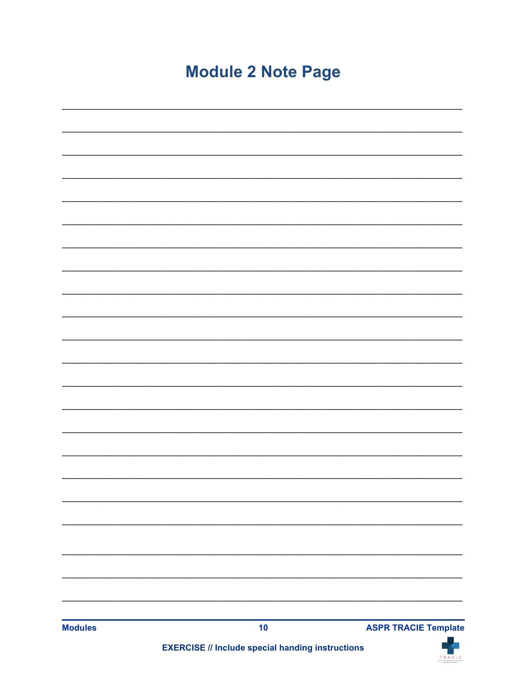# **Module 2 Note Page**

| <b>Modules</b> | 10 | <b>ASPR TRACIE Template</b> |  |
|----------------|----|-----------------------------|--|
|                |    |                             |  |
|                |    |                             |  |
|                |    |                             |  |
|                |    |                             |  |
|                |    |                             |  |
|                |    |                             |  |
|                |    |                             |  |
|                |    |                             |  |
|                |    |                             |  |
|                |    |                             |  |
|                |    |                             |  |
|                |    |                             |  |
|                |    |                             |  |
|                |    |                             |  |
|                |    |                             |  |
|                |    |                             |  |
|                |    |                             |  |
|                |    |                             |  |
|                |    |                             |  |
|                |    |                             |  |
|                |    |                             |  |
|                |    |                             |  |
|                |    |                             |  |
|                |    |                             |  |

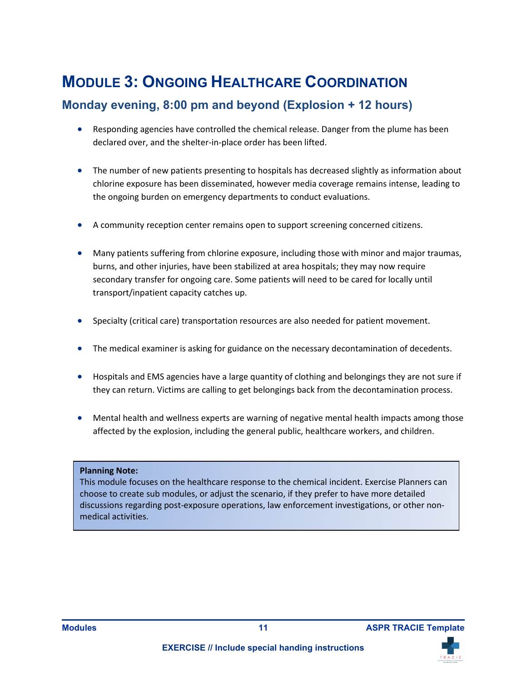## <span id="page-15-0"></span>**MODULE 3: ONGOING HEALTHCARE COORDINATION**

### **Monday evening, 8:00 pm and beyond (Explosion + 12 hours)**

- Responding agencies have controlled the chemical release. Danger from the plume has been declared over, and the shelter-in-place order has been lifted.
- chlorine exposure has been disseminated, however media coverage remains intense, leading to • The number of new patients presenting to hospitals has decreased slightly as information about the ongoing burden on emergency departments to conduct evaluations.
- A community reception center remains open to support screening concerned citizens.
- Many patients suffering from chlorine exposure, including those with minor and major traumas, burns, and other injuries, have been stabilized at area hospitals; they may now require secondary transfer for ongoing care. Some patients will need to be cared for locally until transport/inpatient capacity catches up.
- Specialty (critical care) transportation resources are also needed for patient movement.
- The medical examiner is asking for guidance on the necessary decontamination of decedents.
- Hospitals and EMS agencies have a large quantity of clothing and belongings they are not sure if they can return. Victims are calling to get belongings back from the decontamination process.
- • Mental health and wellness experts are warning of negative mental health impacts among those affected by the explosion, including the general public, healthcare workers, and children.

#### **Planning Note:**

 choose to create sub modules, or adjust the scenario, if they prefer to have more detailed This module focuses on the healthcare response to the chemical incident. Exercise Planners can discussions regarding post-exposure operations, law enforcement investigations, or other nonmedical activities.

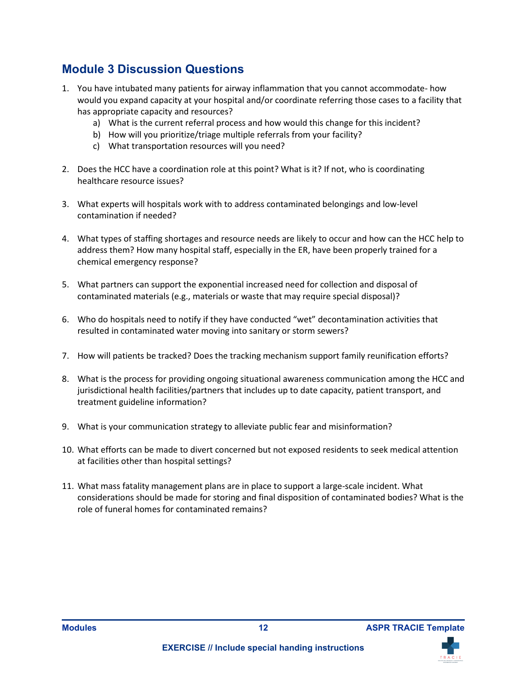### <span id="page-16-0"></span>**Module 3 Discussion Questions**

- would you expand capacity at your hospital and/or coordinate referring those cases to a facility that 1. You have intubated many patients for airway inflammation that you cannot accommodate- how has appropriate capacity and resources?
	- a) What is the current referral process and how would this change for this incident?
	- b) How will you prioritize/triage multiple referrals from your facility?
	- c) What transportation resources will you need?
- 2. Does the HCC have a coordination role at this point? What is it? If not, who is coordinating healthcare resource issues?
- 3. What experts will hospitals work with to address contaminated belongings and low-level contamination if needed?
- address them? How many hospital staff, especially in the ER, have been properly trained for a 4. What types of staffing shortages and resource needs are likely to occur and how can the HCC help to chemical emergency response?
- 5. What partners can support the exponential increased need for collection and disposal of contaminated materials (e.g., materials or waste that may require special disposal)?
- 6. Who do hospitals need to notify if they have conducted "wet" decontamination activities that resulted in contaminated water moving into sanitary or storm sewers?
- 7. How will patients be tracked? Does the tracking mechanism support family reunification efforts?
- 8. What is the process for providing ongoing situational awareness communication among the HCC and jurisdictional health facilities/partners that includes up to date capacity, patient transport, and treatment guideline information?
- 9. What is your communication strategy to alleviate public fear and misinformation?
- 10. What efforts can be made to divert concerned but not exposed residents to seek medical attention at facilities other than hospital settings?
- considerations should be made for storing and final disposition of contaminated bodies? What is the 11. What mass fatality management plans are in place to support a large-scale incident. What role of funeral homes for contaminated remains?